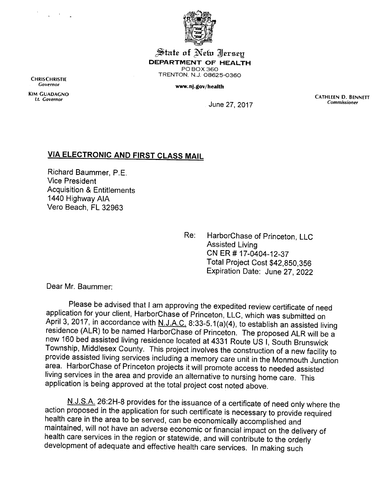



J^iaie **at ^eta Jersey** *DEPARTMENT OF HEALTH* PO BOX 360 TRENTON, N.J. 08625-0360

## *www.nj.gov/health*

June 27, 2017

CATHLEEN D. BENNETT **Commissioner**

## *VIA ELECTRONIC AND FIRST CLASS MAIL*

Richard Baummer, P.E. Vice President Acquisition & Entitlements 1440 Highway AIA Vero Beach, FL 32963

> Re: HarborChase of Princeton, LLC Assisted Living CNER# 17-0404-12-37 Total Project Cost \$42,850,356 Expiration Date: June 27, 2022

Dear Mr. Baummer:

Please be advised that Iam approving the expedited review certificate of need application for your client, HarborChase of Princeton, LLC, which was submitted on<br>April 3, 2017, in accordance with N.J.A.C. 8:33-5.1(a)(4), to establish an assisted living residence (ALR) to be named HarborChase of Princeton. The proposed ALR will be a new 160 bed assisted living residence located at 4331 Route US I, South Brunswick Township, Middlesex County. This project involves the construction of a new facility to provide assisted living services including a memory care unit in the Monmouth Junction area. HarborChase of Princeton projects it will promote access to needed assisted living services in the area and provide an alternative to nursing home care. This application is being approved at the total project cost noted above.

N.J.S.A. 26:2H-8 provides for the issuance of a certificate of need only where the action proposed in the application for such certificate is necessary to provide required health care in the area to be served, can be economically accomplished and maintained, will not have an adverse economic or financial impact on the delivery of development of adequate and effective health care services. In making such

**CHRISCHRISTIE Governor**

Kim guadagno *If. Governor*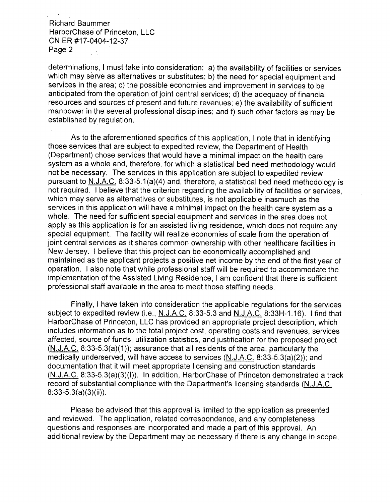Richard Baummer HarborChase of Princeton, LLC CNER #17-0404-12-37 Page 2

determinations, Imust take into consideration: a) the availability of facilities or services which may serve as alternatives or substitutes; b) the need for special equipment and services in the area; c) the possible economies and improvement in services to be anticipated from the operation of joint central services; d) the adequacy of financial resources and sources of present and future revenues; e) the availability of sufficient manpower in the several professional disciplines; and f) such other factors as may be established by regulation.

As to the aforementioned specifics of this application, I note that in identifying those services that are subject to expedited review, the Department of Health (Department) chose services that would have a minimal impact on the health care system as a whole and, therefore, for which a statistical bed need methodology would not be necessary. The services in this application are subject to expedited review pursuant to N.J.A.C. 8:33-5.1(a)(4) and, therefore, a statistical bed need methodology is not required. I believe that the criterion regarding the availability of facilities or services, which may serve as alternatives or substitutes, is not applicable inasmuch as the services in this application will have a minimal impact on the health care system as a whole. The need for sufficient special equipment and services in the area does not apply as this application is for an assisted living residence, which does not require any special equipment. The facility will realize economies of scale from the operation of joint central services as it shares common ownership with other healthcare facilities in New Jersey. I believe that this project can be economically accomplished and maintained as the applicant projects a positive net income by the end of the first year of operation. I also note that while professional staff will be required to accommodate the implementation of the Assisted Living Residence, I am confident that there is sufficient professional staff available in the area to meet those staffing needs.

Finally, I have taken into consideration the applicable regulations for the services subject to expedited review (i.e., N.J.A.C. 8:33-5.3 and N.J.A.C. 8:33H-1.16). I find that HarborChase of Princeton, LLC has provided an appropriate project description, which includes information as to the total project cost, operating costs and revenues, services affected, source of funds, utilization statistics, and justification for the proposed project (N.J.A.C. 8:33-5.3(a)(1)); assurance that all residents of the area, particularly the medically underserved, will have access to services (N.J.A.C. 8:33-5.3(a)(2)); and documentation that it will meet appropriate licensing and construction standards (N.J.A.C. 8:33-5.3(a)(3)(l)). In addition, HarborChase of Princeton demonstrated a track record of substantial compliance with the Department's licensing standards (N.J.A.C. 8:33-5.3(a)(3)(ii)).

Please be advised that this approval is limited to the application as presented and reviewed. The application, related correspondence, and any completeness questions and responses are incorporated and made a part of this approval. An additional review by the Department may be necessary if there is any change in scope,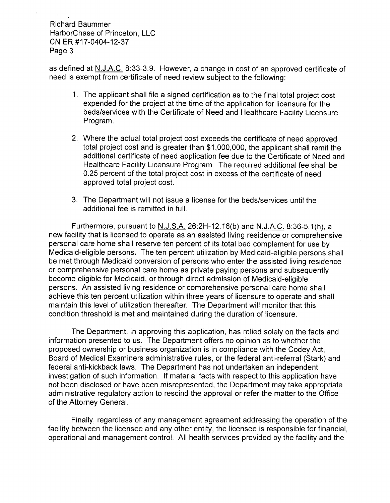## Richard Baummer HarborChase of Princeton, LLC CN ER #17-0404-12-37 Page 3

as defined at N.J.A.C. 8:33-3.9. However, a change in cost of an approved certificate of need is exempt from certificate of need review subject to the following:

- 1. The applicant shall file a signed certification as to the final total project cost expended for the project at the time of the application for licensure for the beds/services with the Certificate of Need and Healthcare Facility Licensure Program.
- 2. Where the actual total project cost exceeds the certificate of need approved total project cost and is greater than \$1,000,000, the applicant shall remit the additional certificate of need application fee due to the Certificate of Need and Healthcare Facility Licensure Program. The required additional fee shall be 0.25 percent of the total project cost in excess of the certificate of need approved total project cost.
- 3. The Department will not issue a license for the beds/services until the additional fee is remitted in full.

Furthermore, pursuant to N.J.S.A. 26:2H-12.16(b) and N.J.A.C. 8:36-5.1(h), a new facility that is licensed to operate as an assisted living residence or comprehensive personal care home shall reserve ten percent of its total bed complement for use by Medicaid-eligible persons. The ten percent utilization by Medicaid-eligible persons shall be met through Medicaid conversion of persons who enter the assisted living residence or comprehensive personal care home as private paying persons and subsequently become eligible for Medicaid, or through direct admission of Medicaid-eligible persons. An assisted living residence or comprehensive personal care home shall achieve this ten percent utilization within three years of licensure to operate and shall maintain this level of utilization thereafter. The Department will monitor that this condition threshold is met and maintained during the duration of licensure.

The Department, in approving this application, has relied solely on the facts and information presented to us. The Department offers no opinion as to whether the proposed ownership or business organization is in compliance with the Codey Act, Board of Medical Examiners administrative rules, or the federal anti-referral (Stark) and federal anti-kickback laws. The Department has not undertaken an independent investigation of such information. If material facts with respect to this application have not been disclosed or have been misrepresented, the Department may take appropriate administrative regulatory action to rescind the approval or refer the matter to the Office of the Attorney General.

Finally, regardless of any management agreement addressing the operation of the facility between the licensee and any other entity, the licensee is responsible for financial, operational and management control. All health services provided by the facility and the